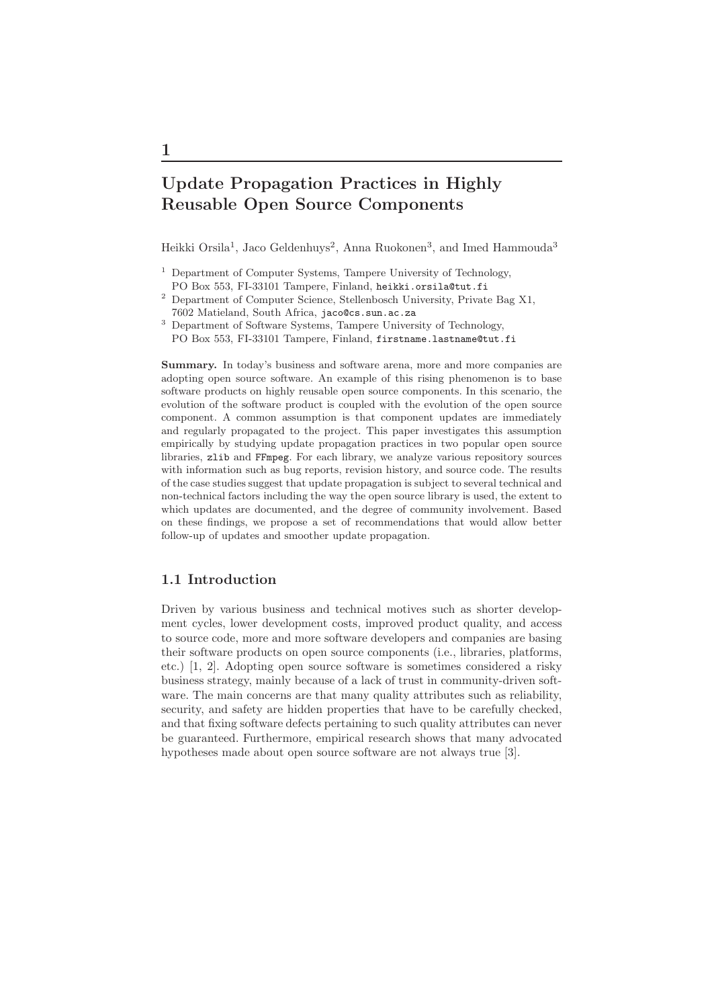# Update Propagation Practices in Highly Reusable Open Source Components

Heikki Orsila<sup>1</sup>, Jaco Geldenhuys<sup>2</sup>, Anna Ruokonen<sup>3</sup>, and Imed Hammouda<sup>3</sup>

- <sup>1</sup> Department of Computer Systems, Tampere University of Technology, PO Box 553, FI-33101 Tampere, Finland, heikki.orsila@tut.fi
- <sup>2</sup> Department of Computer Science, Stellenbosch University, Private Bag X1, 7602 Matieland, South Africa, jaco@cs.sun.ac.za
- <sup>3</sup> Department of Software Systems, Tampere University of Technology,
	- PO Box 553, FI-33101 Tampere, Finland, firstname.lastname@tut.fi

Summary. In today's business and software arena, more and more companies are adopting open source software. An example of this rising phenomenon is to base software products on highly reusable open source components. In this scenario, the evolution of the software product is coupled with the evolution of the open source component. A common assumption is that component updates are immediately and regularly propagated to the project. This paper investigates this assumption empirically by studying update propagation practices in two popular open source libraries, zlib and FFmpeg. For each library, we analyze various repository sources with information such as bug reports, revision history, and source code. The results of the case studies suggest that update propagation is subject to several technical and non-technical factors including the way the open source library is used, the extent to which updates are documented, and the degree of community involvement. Based on these findings, we propose a set of recommendations that would allow better follow-up of updates and smoother update propagation.

# 1.1 Introduction

Driven by various business and technical motives such as shorter development cycles, lower development costs, improved product quality, and access to source code, more and more software developers and companies are basing their software products on open source components (i.e., libraries, platforms, etc.) [1, 2]. Adopting open source software is sometimes considered a risky business strategy, mainly because of a lack of trust in community-driven software. The main concerns are that many quality attributes such as reliability, security, and safety are hidden properties that have to be carefully checked, and that fixing software defects pertaining to such quality attributes can never be guaranteed. Furthermore, empirical research shows that many advocated hypotheses made about open source software are not always true [3].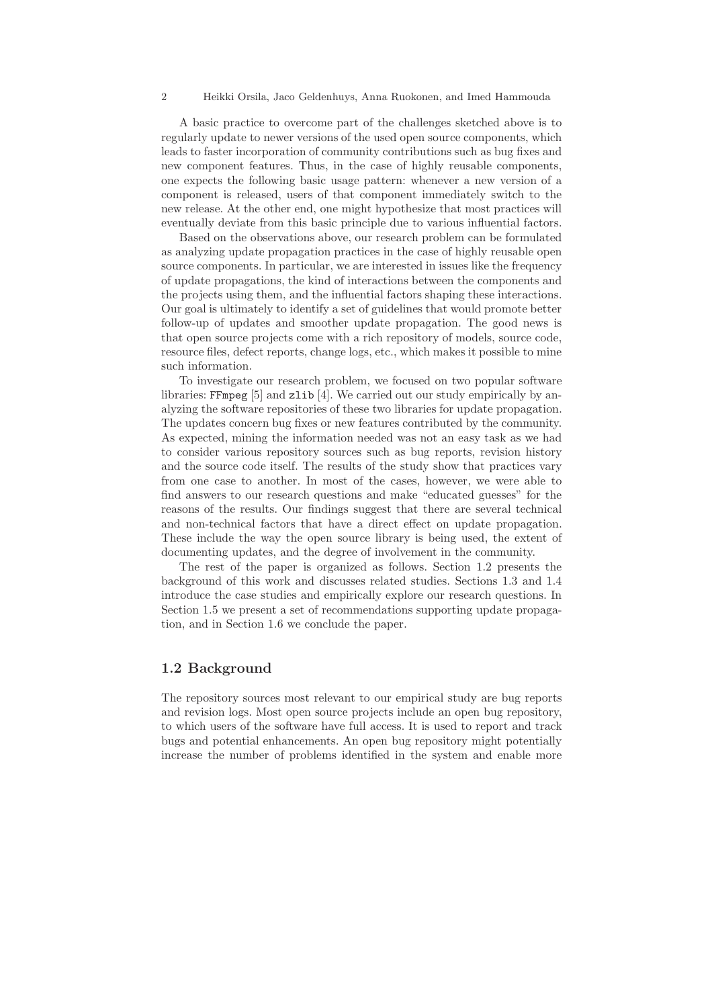A basic practice to overcome part of the challenges sketched above is to regularly update to newer versions of the used open source components, which leads to faster incorporation of community contributions such as bug fixes and new component features. Thus, in the case of highly reusable components, one expects the following basic usage pattern: whenever a new version of a component is released, users of that component immediately switch to the new release. At the other end, one might hypothesize that most practices will eventually deviate from this basic principle due to various influential factors.

Based on the observations above, our research problem can be formulated as analyzing update propagation practices in the case of highly reusable open source components. In particular, we are interested in issues like the frequency of update propagations, the kind of interactions between the components and the projects using them, and the influential factors shaping these interactions. Our goal is ultimately to identify a set of guidelines that would promote better follow-up of updates and smoother update propagation. The good news is that open source projects come with a rich repository of models, source code, resource files, defect reports, change logs, etc., which makes it possible to mine such information.

To investigate our research problem, we focused on two popular software libraries: FFmpeg [5] and zlib [4]. We carried out our study empirically by analyzing the software repositories of these two libraries for update propagation. The updates concern bug fixes or new features contributed by the community. As expected, mining the information needed was not an easy task as we had to consider various repository sources such as bug reports, revision history and the source code itself. The results of the study show that practices vary from one case to another. In most of the cases, however, we were able to find answers to our research questions and make "educated guesses" for the reasons of the results. Our findings suggest that there are several technical and non-technical factors that have a direct effect on update propagation. These include the way the open source library is being used, the extent of documenting updates, and the degree of involvement in the community.

The rest of the paper is organized as follows. Section 1.2 presents the background of this work and discusses related studies. Sections 1.3 and 1.4 introduce the case studies and empirically explore our research questions. In Section 1.5 we present a set of recommendations supporting update propagation, and in Section 1.6 we conclude the paper.

# 1.2 Background

The repository sources most relevant to our empirical study are bug reports and revision logs. Most open source projects include an open bug repository, to which users of the software have full access. It is used to report and track bugs and potential enhancements. An open bug repository might potentially increase the number of problems identified in the system and enable more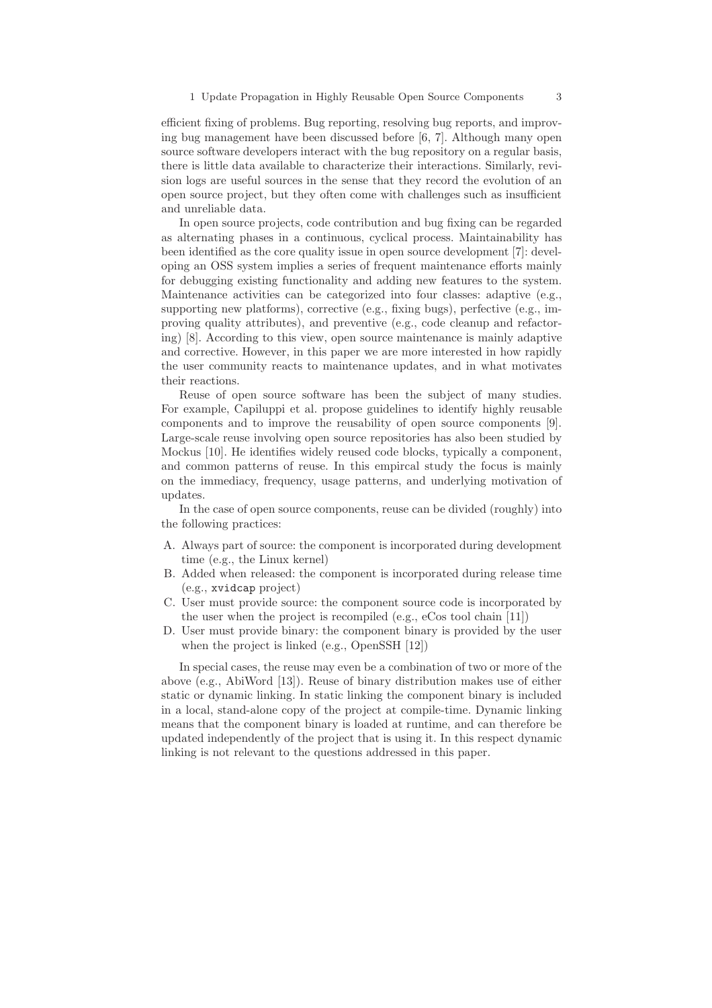efficient fixing of problems. Bug reporting, resolving bug reports, and improving bug management have been discussed before [6, 7]. Although many open source software developers interact with the bug repository on a regular basis, there is little data available to characterize their interactions. Similarly, revision logs are useful sources in the sense that they record the evolution of an open source project, but they often come with challenges such as insufficient and unreliable data.

In open source projects, code contribution and bug fixing can be regarded as alternating phases in a continuous, cyclical process. Maintainability has been identified as the core quality issue in open source development [7]: developing an OSS system implies a series of frequent maintenance efforts mainly for debugging existing functionality and adding new features to the system. Maintenance activities can be categorized into four classes: adaptive (e.g., supporting new platforms), corrective (e.g., fixing bugs), perfective (e.g., improving quality attributes), and preventive (e.g., code cleanup and refactoring) [8]. According to this view, open source maintenance is mainly adaptive and corrective. However, in this paper we are more interested in how rapidly the user community reacts to maintenance updates, and in what motivates their reactions.

Reuse of open source software has been the subject of many studies. For example, Capiluppi et al. propose guidelines to identify highly reusable components and to improve the reusability of open source components [9]. Large-scale reuse involving open source repositories has also been studied by Mockus [10]. He identifies widely reused code blocks, typically a component, and common patterns of reuse. In this empircal study the focus is mainly on the immediacy, frequency, usage patterns, and underlying motivation of updates.

In the case of open source components, reuse can be divided (roughly) into the following practices:

- A. Always part of source: the component is incorporated during development time (e.g., the Linux kernel)
- B. Added when released: the component is incorporated during release time (e.g., xvidcap project)
- C. User must provide source: the component source code is incorporated by the user when the project is recompiled (e.g., eCos tool chain [11])
- D. User must provide binary: the component binary is provided by the user when the project is linked (e.g., OpenSSH [12])

In special cases, the reuse may even be a combination of two or more of the above (e.g., AbiWord [13]). Reuse of binary distribution makes use of either static or dynamic linking. In static linking the component binary is included in a local, stand-alone copy of the project at compile-time. Dynamic linking means that the component binary is loaded at runtime, and can therefore be updated independently of the project that is using it. In this respect dynamic linking is not relevant to the questions addressed in this paper.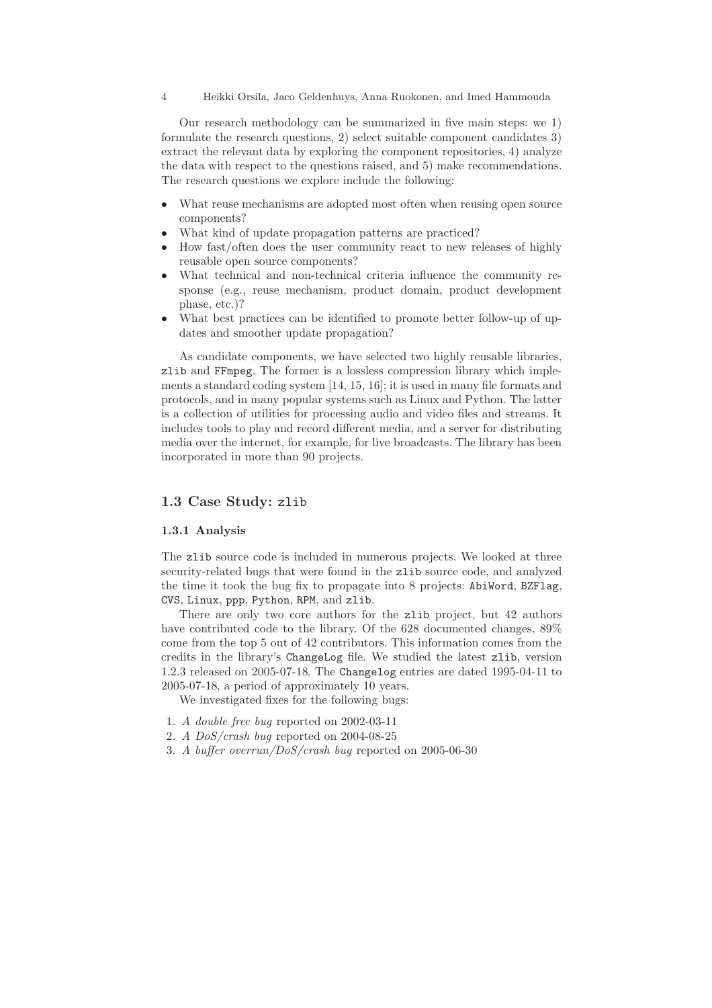Our research methodology can be summarized in five main steps: we 1) formulate the research questions, 2) select suitable component candidates 3) extract the relevant data by exploring the component repositories, 4) analyze the data with respect to the questions raised, and 5) make recommendations. The research questions we explore include the following:

- What reuse mechanisms are adopted most often when reusing open source components?
- What kind of update propagation patterns are practiced?
- How fast/often does the user community react to new releases of highly reusable open source components?
- What technical and non-technical criteria influence the community response (e.g., reuse mechanism, product domain, product development phase, etc.)?
- What best practices can be identified to promote better follow-up of updates and smoother update propagation?

As candidate components, we have selected two highly reusable libraries, zlib and FFmpeg. The former is a lossless compression library which implements a standard coding system [14, 15, 16]; it is used in many file formats and protocols, and in many popular systems such as Linux and Python. The latter is a collection of utilities for processing audio and video files and streams. It includes tools to play and record different media, and a server for distributing media over the internet, for example, for live broadcasts. The library has been incorporated in more than 90 projects.

# 1.3 Case Study: zlib

#### 1.3.1 Analysis

The zlib source code is included in numerous projects. We looked at three security-related bugs that were found in the zlib source code, and analyzed the time it took the bug fix to propagate into 8 projects: AbiWord, BZFlag, CVS, Linux, ppp, Python, RPM, and zlib.

There are only two core authors for the zlib project, but 42 authors have contributed code to the library. Of the 628 documented changes, 89% come from the top 5 out of 42 contributors. This information comes from the credits in the library's ChangeLog file. We studied the latest zlib, version 1.2.3 released on 2005-07-18. The Changelog entries are dated 1995-04-11 to 2005-07-18, a period of approximately 10 years.

We investigated fixes for the following bugs:

- 1. A double free bug reported on 2002-03-11
- 2. A DoS/crash bug reported on 2004-08-25
- 3. A buffer overrun/DoS/crash bug reported on 2005-06-30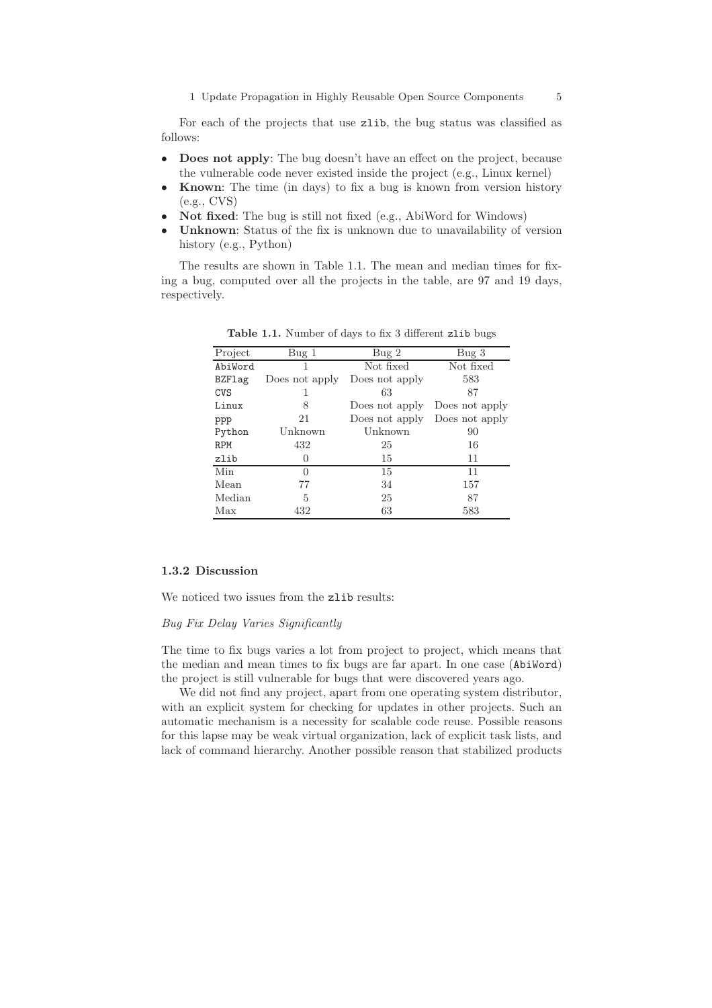1 Update Propagation in Highly Reusable Open Source Components 5

For each of the projects that use zlib, the bug status was classified as follows:

- Does not apply: The bug doesn't have an effect on the project, because the vulnerable code never existed inside the project (e.g., Linux kernel)
- **Known:** The time (in days) to fix a bug is known from version history (e.g., CVS)
- Not fixed: The bug is still not fixed (e.g., AbiWord for Windows)
- Unknown: Status of the fix is unknown due to unavailability of version history (e.g., Python)

The results are shown in Table 1.1. The mean and median times for fixing a bug, computed over all the projects in the table, are 97 and 19 days, respectively.

| Project       | Bug1             | Bug2           | Bug3           |  |
|---------------|------------------|----------------|----------------|--|
| AbiWord       |                  | Not fixed      | Not fixed      |  |
| <b>BZFlag</b> | Does not apply   | Does not apply | 583            |  |
| <b>CVS</b>    | ı                | 63             | 87             |  |
| Linux         | 8                | Does not apply | Does not apply |  |
| ppp           | 21               | Does not apply | Does not apply |  |
| Python        | Unknown          | Unknown        | 90             |  |
| <b>RPM</b>    | 432              | 25             | 16             |  |
| zlib          | $\left( \right)$ | 15             | 11             |  |
| Min           | 0                | 15             | 11             |  |
| Mean          | 77               | 34             | 157            |  |
| Median        | 5                | 25             | 87             |  |
| Max           | 432              | 63             | 583            |  |

Table 1.1. Number of days to fix 3 different zlib bugs

# 1.3.2 Discussion

We noticed two issues from the zlib results:

# Bug Fix Delay Varies Significantly

The time to fix bugs varies a lot from project to project, which means that the median and mean times to fix bugs are far apart. In one case (AbiWord) the project is still vulnerable for bugs that were discovered years ago.

We did not find any project, apart from one operating system distributor, with an explicit system for checking for updates in other projects. Such an automatic mechanism is a necessity for scalable code reuse. Possible reasons for this lapse may be weak virtual organization, lack of explicit task lists, and lack of command hierarchy. Another possible reason that stabilized products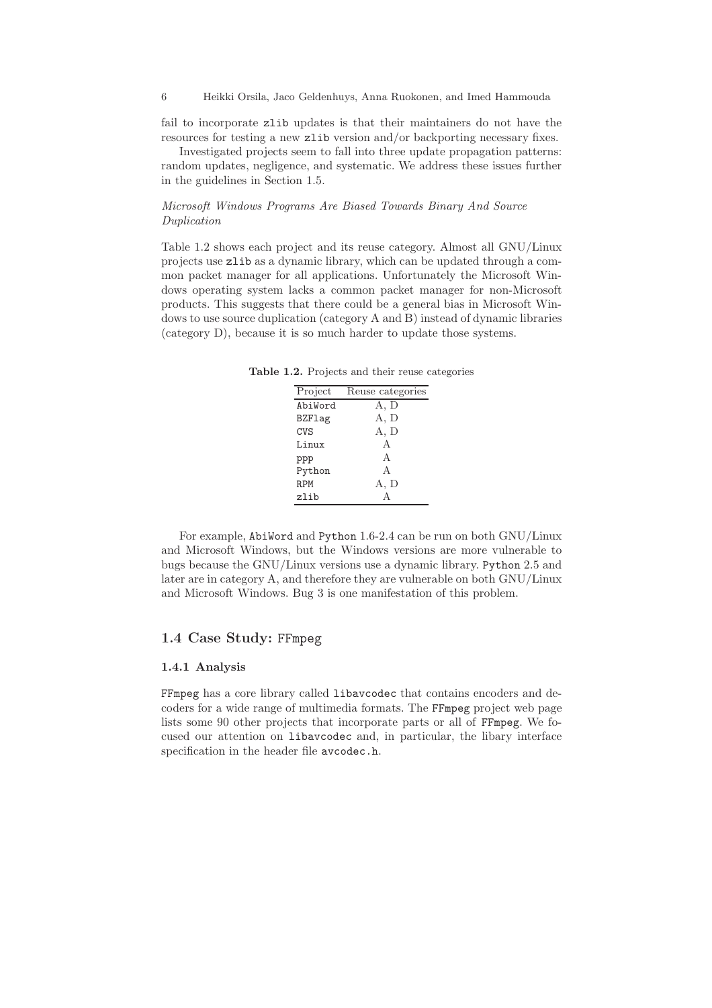fail to incorporate zlib updates is that their maintainers do not have the resources for testing a new zlib version and/or backporting necessary fixes.

Investigated projects seem to fall into three update propagation patterns: random updates, negligence, and systematic. We address these issues further in the guidelines in Section 1.5.

# Microsoft Windows Programs Are Biased Towards Binary And Source Duplication

Table 1.2 shows each project and its reuse category. Almost all GNU/Linux projects use zlib as a dynamic library, which can be updated through a common packet manager for all applications. Unfortunately the Microsoft Windows operating system lacks a common packet manager for non-Microsoft products. This suggests that there could be a general bias in Microsoft Windows to use source duplication (category A and B) instead of dynamic libraries (category D), because it is so much harder to update those systems.

Table 1.2. Projects and their reuse categories

| Project       | Reuse categories |  |  |
|---------------|------------------|--|--|
| AbiWord       | A, D             |  |  |
| <b>BZFlag</b> | A, D             |  |  |
| CVS           | A, D             |  |  |
| Linux         | A                |  |  |
| ppp           | A                |  |  |
| Python        | A                |  |  |
| <b>RPM</b>    | A, D             |  |  |
| zlib          |                  |  |  |

For example, AbiWord and Python 1.6-2.4 can be run on both GNU/Linux and Microsoft Windows, but the Windows versions are more vulnerable to bugs because the GNU/Linux versions use a dynamic library. Python 2.5 and later are in category A, and therefore they are vulnerable on both GNU/Linux and Microsoft Windows. Bug 3 is one manifestation of this problem.

# 1.4 Case Study: FFmpeg

#### 1.4.1 Analysis

FFmpeg has a core library called libavcodec that contains encoders and decoders for a wide range of multimedia formats. The FFmpeg project web page lists some 90 other projects that incorporate parts or all of FFmpeg. We focused our attention on libavcodec and, in particular, the libary interface specification in the header file avcodec.h.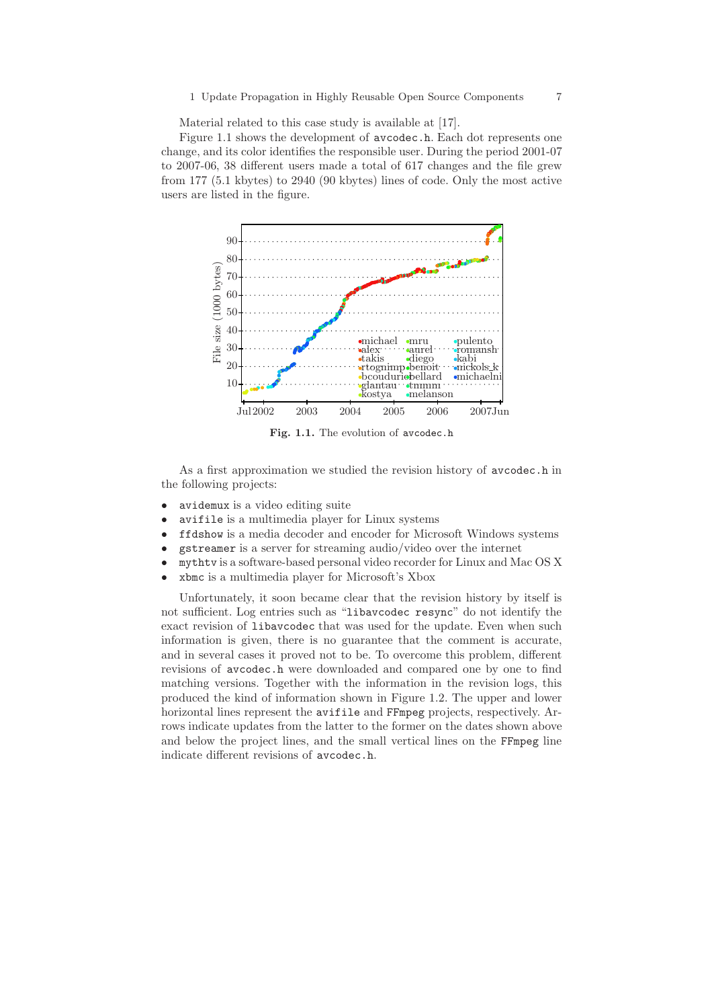#### 1 Update Propagation in Highly Reusable Open Source Components 7

Material related to this case study is available at [17].

Figure 1.1 shows the development of avcodec.h. Each dot represents one change, and its color identifies the responsible user. During the period 2001-07 to 2007-06, 38 different users made a total of 617 changes and the file grew from 177 (5.1 kbytes) to 2940 (90 kbytes) lines of code. Only the most active users are listed in the figure.



Fig. 1.1. The evolution of avcodec.h

As a first approximation we studied the revision history of avcodec.h in the following projects:

- avidemux is a video editing suite
- avifile is a multimedia player for Linux systems
- ffdshow is a media decoder and encoder for Microsoft Windows systems
- gstreamer is a server for streaming audio/video over the internet
- mythtv is a software-based personal video recorder for Linux and Mac OS X
- xbmc is a multimedia player for Microsoft's Xbox

Unfortunately, it soon became clear that the revision history by itself is not sufficient. Log entries such as "libavcodec resync" do not identify the exact revision of libavcodec that was used for the update. Even when such information is given, there is no guarantee that the comment is accurate, and in several cases it proved not to be. To overcome this problem, different revisions of avcodec.h were downloaded and compared one by one to find matching versions. Together with the information in the revision logs, this produced the kind of information shown in Figure 1.2. The upper and lower horizontal lines represent the avifile and FFmpeg projects, respectively. Arrows indicate updates from the latter to the former on the dates shown above and below the project lines, and the small vertical lines on the FFmpeg line indicate different revisions of avcodec.h.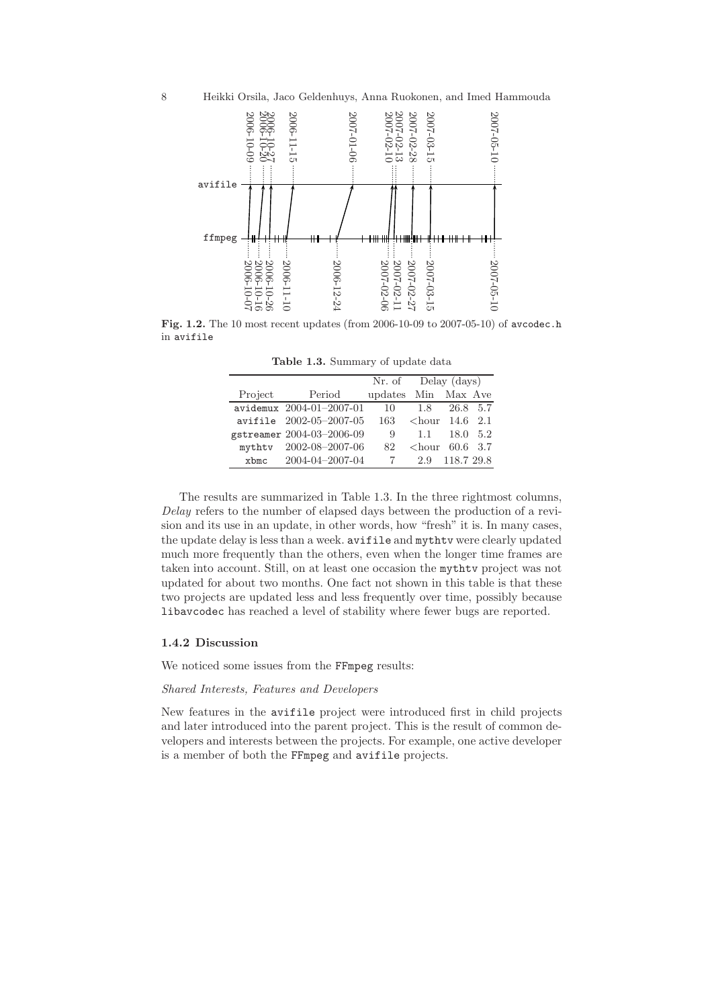

Fig. 1.2. The 10 most recent updates (from 2006-10-09 to 2007-05-10) of avcodec.h in avifile

Table 1.3. Summary of update data

|                                 |                            | Nr. of              | Delay (days) |            |     |
|---------------------------------|----------------------------|---------------------|--------------|------------|-----|
| Project                         | Period                     | updates Min Max Ave |              |            |     |
|                                 | $avidemux$ 2004-01-2007-01 | 10                  | 1.8          | 26.8       | 5.7 |
|                                 | avifile 2002-05-2007-05    | 163                 | $<$ hour     | -14.6      | 2.1 |
|                                 | gstreamer 2004-03-2006-09  | 9                   | 1.1          | 18.0       | 5.2 |
| mythtv                          | 2002-08-2007-06            | 82                  | $<$ hour     | 60.6       | 3.7 |
| $x$ <sub>bm<math>c</math></sub> | 2004-04-2007-04            |                     | 2.9          | 118.7 29.8 |     |

The results are summarized in Table 1.3. In the three rightmost columns, Delay refers to the number of elapsed days between the production of a revision and its use in an update, in other words, how "fresh" it is. In many cases, the update delay is less than a week. avifile and mythtv were clearly updated much more frequently than the others, even when the longer time frames are taken into account. Still, on at least one occasion the mythtv project was not updated for about two months. One fact not shown in this table is that these two projects are updated less and less frequently over time, possibly because libavcodec has reached a level of stability where fewer bugs are reported.

#### 1.4.2 Discussion

We noticed some issues from the FFmpeg results:

# Shared Interests, Features and Developers

New features in the avifile project were introduced first in child projects and later introduced into the parent project. This is the result of common developers and interests between the projects. For example, one active developer is a member of both the FFmpeg and avifile projects.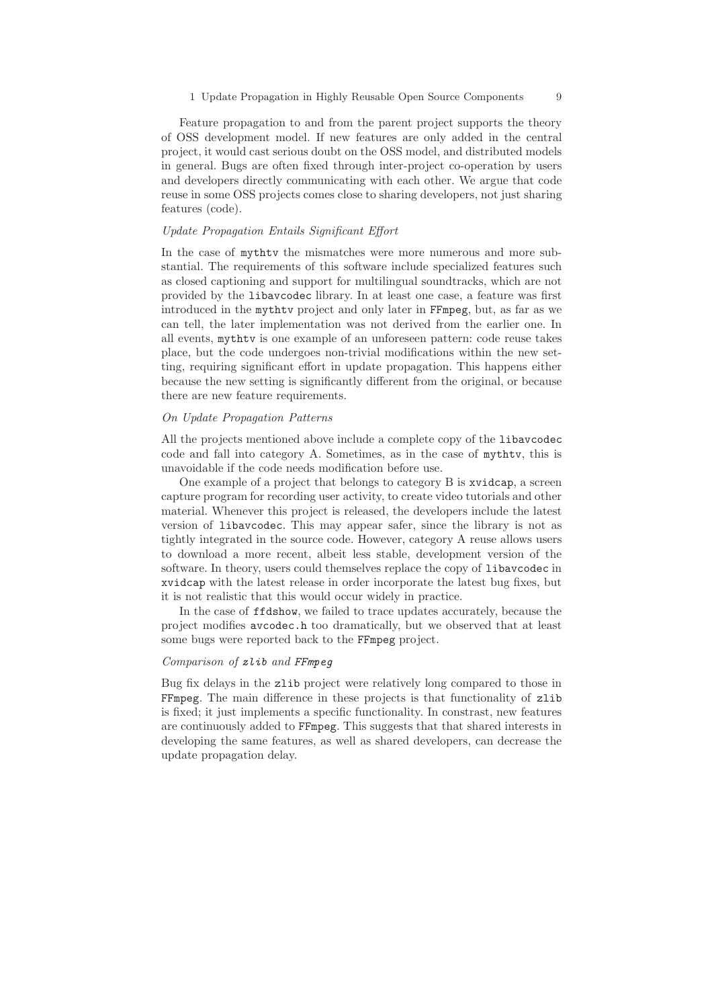Feature propagation to and from the parent project supports the theory of OSS development model. If new features are only added in the central project, it would cast serious doubt on the OSS model, and distributed models in general. Bugs are often fixed through inter-project co-operation by users and developers directly communicating with each other. We argue that code reuse in some OSS projects comes close to sharing developers, not just sharing features (code).

#### Update Propagation Entails Significant Effort

In the case of mythtv the mismatches were more numerous and more substantial. The requirements of this software include specialized features such as closed captioning and support for multilingual soundtracks, which are not provided by the libavcodec library. In at least one case, a feature was first introduced in the mythtv project and only later in FFmpeg, but, as far as we can tell, the later implementation was not derived from the earlier one. In all events, mythtv is one example of an unforeseen pattern: code reuse takes place, but the code undergoes non-trivial modifications within the new setting, requiring significant effort in update propagation. This happens either because the new setting is significantly different from the original, or because there are new feature requirements.

#### On Update Propagation Patterns

All the projects mentioned above include a complete copy of the libavcodec code and fall into category A. Sometimes, as in the case of mythtv, this is unavoidable if the code needs modification before use.

One example of a project that belongs to category B is xvidcap, a screen capture program for recording user activity, to create video tutorials and other material. Whenever this project is released, the developers include the latest version of libavcodec. This may appear safer, since the library is not as tightly integrated in the source code. However, category A reuse allows users to download a more recent, albeit less stable, development version of the software. In theory, users could themselves replace the copy of libavcodec in xvidcap with the latest release in order incorporate the latest bug fixes, but it is not realistic that this would occur widely in practice.

In the case of ffdshow, we failed to trace updates accurately, because the project modifies avcodec.h too dramatically, but we observed that at least some bugs were reported back to the FFmpeg project.

# Comparison of zlib and FFmpeg

Bug fix delays in the zlib project were relatively long compared to those in FFmpeg. The main difference in these projects is that functionality of zlib is fixed; it just implements a specific functionality. In constrast, new features are continuously added to FFmpeg. This suggests that that shared interests in developing the same features, as well as shared developers, can decrease the update propagation delay.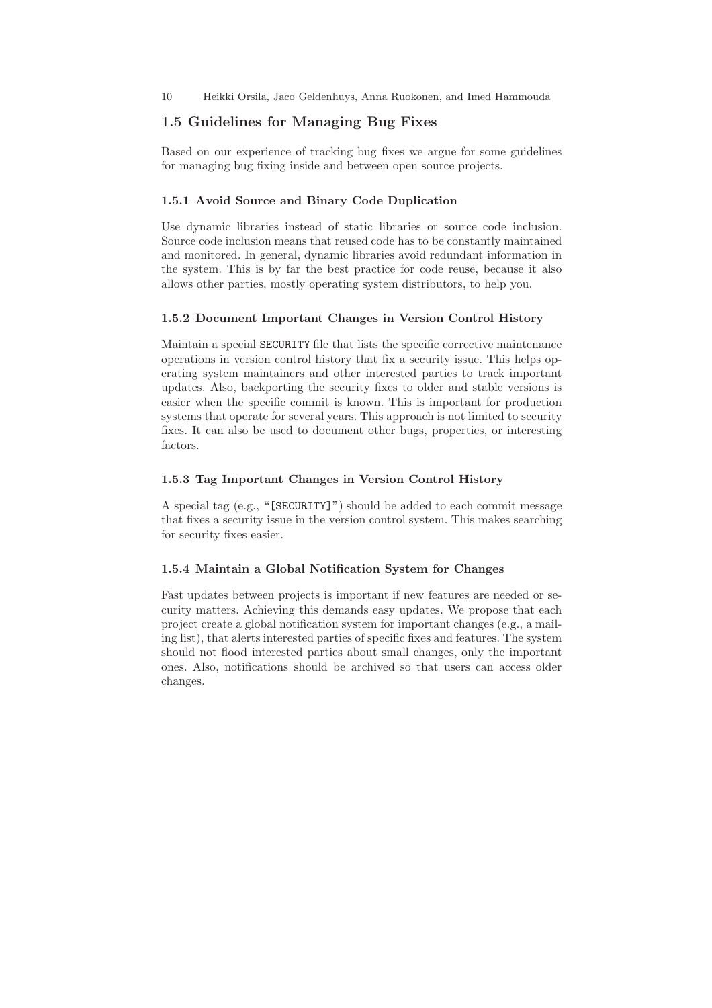# 1.5 Guidelines for Managing Bug Fixes

Based on our experience of tracking bug fixes we argue for some guidelines for managing bug fixing inside and between open source projects.

#### 1.5.1 Avoid Source and Binary Code Duplication

Use dynamic libraries instead of static libraries or source code inclusion. Source code inclusion means that reused code has to be constantly maintained and monitored. In general, dynamic libraries avoid redundant information in the system. This is by far the best practice for code reuse, because it also allows other parties, mostly operating system distributors, to help you.

# 1.5.2 Document Important Changes in Version Control History

Maintain a special SECURITY file that lists the specific corrective maintenance operations in version control history that fix a security issue. This helps operating system maintainers and other interested parties to track important updates. Also, backporting the security fixes to older and stable versions is easier when the specific commit is known. This is important for production systems that operate for several years. This approach is not limited to security fixes. It can also be used to document other bugs, properties, or interesting factors.

# 1.5.3 Tag Important Changes in Version Control History

A special tag (e.g., "[SECURITY]") should be added to each commit message that fixes a security issue in the version control system. This makes searching for security fixes easier.

# 1.5.4 Maintain a Global Notification System for Changes

Fast updates between projects is important if new features are needed or security matters. Achieving this demands easy updates. We propose that each project create a global notification system for important changes (e.g., a mailing list), that alerts interested parties of specific fixes and features. The system should not flood interested parties about small changes, only the important ones. Also, notifications should be archived so that users can access older changes.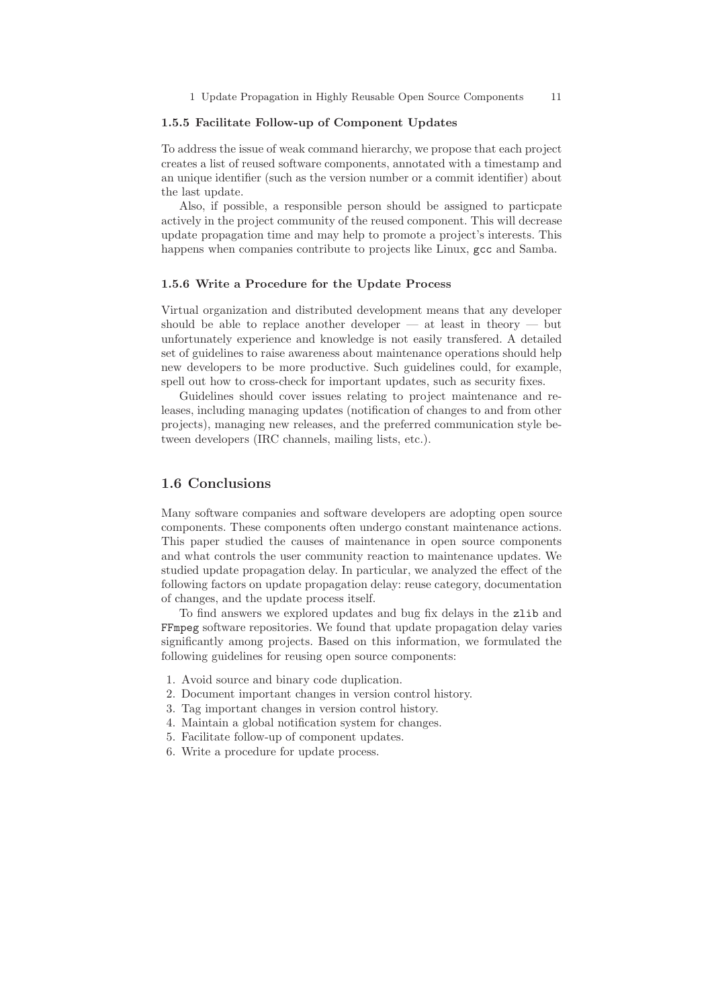#### 1.5.5 Facilitate Follow-up of Component Updates

To address the issue of weak command hierarchy, we propose that each project creates a list of reused software components, annotated with a timestamp and an unique identifier (such as the version number or a commit identifier) about the last update.

Also, if possible, a responsible person should be assigned to particpate actively in the project community of the reused component. This will decrease update propagation time and may help to promote a project's interests. This happens when companies contribute to projects like Linux, gcc and Samba.

#### 1.5.6 Write a Procedure for the Update Process

Virtual organization and distributed development means that any developer should be able to replace another developer  $-$  at least in theory  $-$  but unfortunately experience and knowledge is not easily transfered. A detailed set of guidelines to raise awareness about maintenance operations should help new developers to be more productive. Such guidelines could, for example, spell out how to cross-check for important updates, such as security fixes.

Guidelines should cover issues relating to project maintenance and releases, including managing updates (notification of changes to and from other projects), managing new releases, and the preferred communication style between developers (IRC channels, mailing lists, etc.).

# 1.6 Conclusions

Many software companies and software developers are adopting open source components. These components often undergo constant maintenance actions. This paper studied the causes of maintenance in open source components and what controls the user community reaction to maintenance updates. We studied update propagation delay. In particular, we analyzed the effect of the following factors on update propagation delay: reuse category, documentation of changes, and the update process itself.

To find answers we explored updates and bug fix delays in the zlib and FFmpeg software repositories. We found that update propagation delay varies significantly among projects. Based on this information, we formulated the following guidelines for reusing open source components:

- 1. Avoid source and binary code duplication.
- 2. Document important changes in version control history.
- 3. Tag important changes in version control history.
- 4. Maintain a global notification system for changes.
- 5. Facilitate follow-up of component updates.
- 6. Write a procedure for update process.